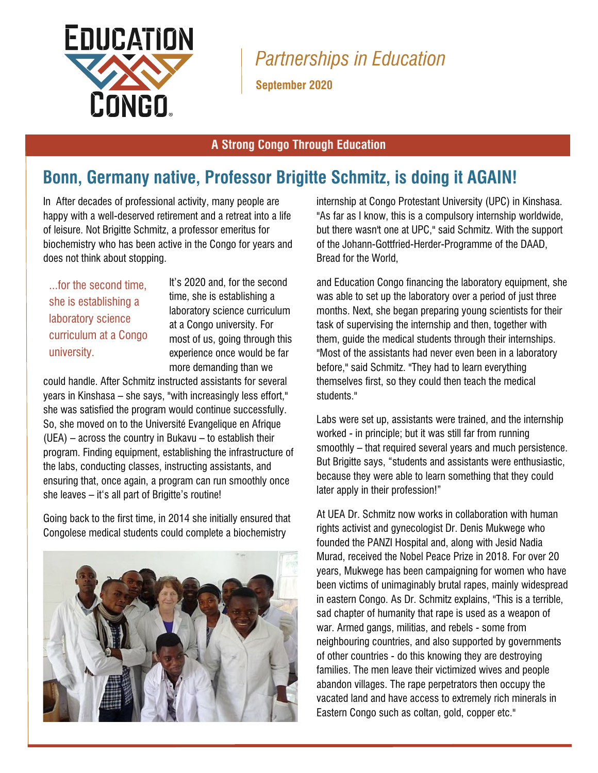

*Partnerships in Education*

**September 2020**

## **A Strong Congo Through Education**

## **Bonn, Germany native, Professor Brigitte Schmitz, is doing it AGAIN!**

In After decades of professional activity, many people are happy with a well-deserved retirement and a retreat into a life of leisure. Not Brigitte Schmitz, a professor emeritus for biochemistry who has been active in the Congo for years and does not think about stopping.

...for the second time, she is establishing a laboratory science curriculum at a Congo university.

It's 2020 and, for the second time, she is establishing a laboratory science curriculum at a Congo university. For most of us, going through this experience once would be far more demanding than we

could handle. After Schmitz instructed assistants for several years in Kinshasa – she says, "with increasingly less effort," she was satisfied the program would continue successfully. So, she moved on to the Université Evangelique en Afrique  $(UEA)$  – across the country in Bukavu – to establish their program. Finding equipment, establishing the infrastructure of the labs, conducting classes, instructing assistants, and ensuring that, once again, a program can run smoothly once she leaves – it's all part of Brigitte's routine!

Going back to the first time, in 2014 she initially ensured that Congolese medical students could complete a biochemistry



internship at Congo Protestant University (UPC) in Kinshasa. "As far as I know, this is a compulsory internship worldwide, but there wasn't one at UPC," said Schmitz. With the support of the Johann-Gottfried-Herder-Programme of the DAAD, Bread for the World,

and Education Congo financing the laboratory equipment, she was able to set up the laboratory over a period of just three months. Next, she began preparing young scientists for their task of supervising the internship and then, together with them, guide the medical students through their internships. "Most of the assistants had never even been in a laboratory before," said Schmitz. "They had to learn everything themselves first, so they could then teach the medical students."

Labs were set up, assistants were trained, and the internship worked - in principle; but it was still far from running smoothly – that required several years and much persistence. But Brigitte says, "students and assistants were enthusiastic, because they were able to learn something that they could later apply in their profession!"

At UEA Dr. Schmitz now works in collaboration with human rights activist and gynecologist Dr. Denis Mukwege who founded the PANZI Hospital and, along with Jesid Nadia Murad, received the Nobel Peace Prize in 2018. For over 20 years, Mukwege has been campaigning for women who have been victims of unimaginably brutal rapes, mainly widespread in eastern Congo. As Dr. Schmitz explains, "This is a terrible, sad chapter of humanity that rape is used as a weapon of war. Armed gangs, militias, and rebels - some from neighbouring countries, and also supported by governments of other countries - do this knowing they are destroying families. The men leave their victimized wives and people abandon villages. The rape perpetrators then occupy the vacated land and have access to extremely rich minerals in Eastern Congo such as coltan, gold, copper etc."